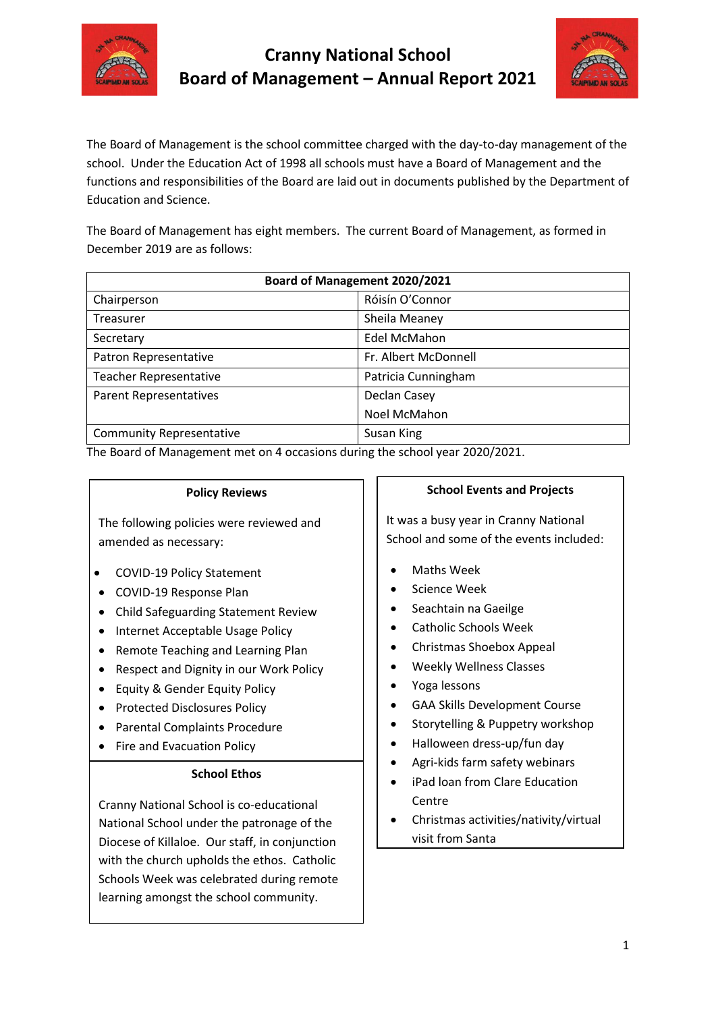



The Board of Management is the school committee charged with the day-to-day management of the school. Under the Education Act of 1998 all schools must have a Board of Management and the functions and responsibilities of the Board are laid out in documents published by the Department of Education and Science.

The Board of Management has eight members. The current Board of Management, as formed in December 2019 are as follows:

| Board of Management 2020/2021   |                      |
|---------------------------------|----------------------|
| Chairperson                     | Róisín O'Connor      |
| Treasurer                       | Sheila Meaney        |
| Secretary                       | <b>Edel McMahon</b>  |
| Patron Representative           | Fr. Albert McDonnell |
| <b>Teacher Representative</b>   | Patricia Cunningham  |
| <b>Parent Representatives</b>   | Declan Casey         |
|                                 | Noel McMahon         |
| <b>Community Representative</b> | Susan King           |

The Board of Management met on 4 occasions during the school year 2020/2021.

learning amongst the school community.

| <b>Policy Reviews</b>                                             | <b>School Events and Projects</b>                                                |
|-------------------------------------------------------------------|----------------------------------------------------------------------------------|
| The following policies were reviewed and<br>amended as necessary: | It was a busy year in Cranny National<br>School and some of the events included: |
| COVID-19 Policy Statement                                         | <b>Maths Week</b>                                                                |
| COVID-19 Response Plan                                            | Science Week                                                                     |
| Child Safeguarding Statement Review                               | Seachtain na Gaeilge                                                             |
| Internet Acceptable Usage Policy                                  | <b>Catholic Schools Week</b>                                                     |
| Remote Teaching and Learning Plan<br>$\bullet$                    | Christmas Shoebox Appeal                                                         |
| Respect and Dignity in our Work Policy                            | <b>Weekly Wellness Classes</b>                                                   |
| Equity & Gender Equity Policy                                     | Yoga lessons                                                                     |
| <b>Protected Disclosures Policy</b><br>٠                          | <b>GAA Skills Development Course</b>                                             |
| <b>Parental Complaints Procedure</b>                              | Storytelling & Puppetry workshop                                                 |
| Fire and Evacuation Policy                                        | Halloween dress-up/fun day                                                       |
| <b>School Ethos</b>                                               | Agri-kids farm safety webinars<br>iPad Ioan from Clare Education                 |
| Cranny National School is co-educational                          | Centre                                                                           |
| National School under the patronage of the                        | Christmas activities/nativity/virtual                                            |
| Diocese of Killaloe. Our staff, in conjunction                    | visit from Santa                                                                 |
| with the church upholds the ethos. Catholic                       |                                                                                  |
| Schools Week was celebrated during remote                         |                                                                                  |